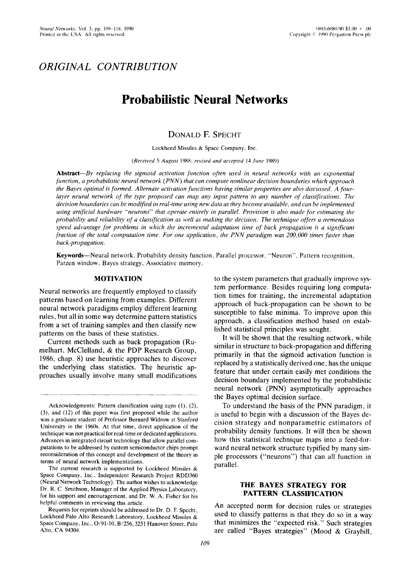## *ORIGINAL CONTRIBUTION*

# **Probabilistic Neural Networks**

## DONALD F. SPECHT

Lockheed Missiles & Space Company, Inc.

*(Received 5 August* 1988; *revised and accepted* 14 *June* 1989)

**Abstract--By** *replacing the sigmoid activation function often used in neural networks with an exponential function, a probabilistic neural network ( PNN) that can compute nonlinear decision boundaries which approach the Bayes optimal is formed. Alternate activation functions having similar properties are also discussed. A fourlayer neural network of the type proposed can map any input pattern to any number of classifications. The decision boundaries can be modified in real-time using new data as they become available, and can be implemented using artificial hardware "'neurons" that operate entirely in parallel. Provision is also made for estimating the probability and reliability of a classification as well as making the decision. The technique offers a tremendous speed advantage for problems in which the incremental adaptation time of back propagation is a significant fraction of the total computation time. For one application, the PNN paradigm was 200,000 times faster than back-propagation.* 

Keywords-Neural network, Probability density function, Parallel processor, "Neuron", Pattern recognition, Parzen window, Bayes strategy, Associative memory.

#### **MOTIVATION**

Neural networks are frequently employed to classify patterns based on learning from examples. Different neural network paradigms employ different learning rules, but all in some way determine pattern statistics from a set of training samples and then classify new patterns on the basis of these statistics.

Current methods such as back propagation (Rumelhart, McClelland, & the PDP Research Group, 1986, chap. 8) use heuristic approaches to discover the underlying class statistics. The heuristic approaches usually involve many small modifications to the system parameters that gradually improve system performance. Besides requiring long computation times for training, the incremental adaptation approach of back-propagation can be shown to be susceptible to false minima. To improve upon this approach, a classification method based on established statistical principles was sought.

It will be shown that the resulting network, while similar in structure to back-propagation and differing primarily in that the sigmoid activation function is replaced by a statistically derived one, has the unique feature that under certain easily met conditions the decision boundary implemented by the probabilistic neural network (PNN) asymptotically approaches the Bayes optimal decision surface.

To understand the basis of the PNN paradigm, it is useful to begin with a discussion of the Bayes decision strategy and nonparametric estimators of probability density functions. It will then be shown how this statistical technique maps into a feed-forward neural network structure typified by many simple processors ("neurons") that can all function in parallel.

## **THE BAYES STRATEGY FOR PATTERN CLASSIFICATION**

An accepted norm for decision rules or strategies used to classify patterns is that they do so in a way that minimizes the "expected risk." Such strategies are called "Bayes strategies" (Mood & Graybill,

Acknowledgments: Pattern classification using eqns (1), (2), (3), and (12) of this paper was first proposed while the author was a graduate student of Professor Bernard Widrow at Stanford University in the 1960s. At that time, direct application of the technique was not practical for real-time or dedicated applications. Advances in integrated circuit technology that allow parallel computations to be addressed by custom semiconductor chips prompt reconsideration of this concept and development of the theory in terms of neural network implementations.

The current research is supported by Lockheed Missiles  $\&$ Space Company, Inc., Independent Research Project RDD360 (Neural Network Technology). The author wishes to acknowledge Dr. R. C. Smithson, Manager of the Applied Physics Laboratory, for his support and encouragement, and Dr. W. A. Fisher for his helpful comments in reviewing this article.

Requests for reprints should be addressed to Dr. D. E Specht, Lockheed Palo Alto Research Laboratory, Lockheed Missiles & Space Company, Inc., O/91-10, B/256, 3251 Hanover Street, Palo Alto, CA 94304.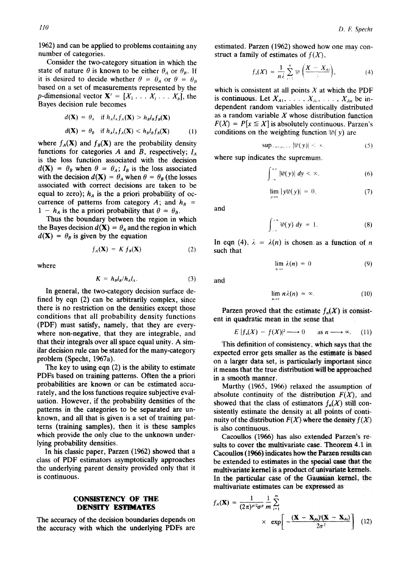1962) and can be applied to problems containing any number of categories.

Consider the two-category situation in which the state of nature  $\theta$  is known to be either  $\theta_A$  or  $\theta_B$ . If it is desired to decide whether  $\theta = \theta_A$  or  $\theta = \theta_B$ based on a set of measurements represented by the p-dimensional vector  $X' = [X_1 \ldots X_i \ldots X_n]$ , the Bayes decision rule becomes

$$
d(\mathbf{X}) = \theta_A \quad \text{if } h_A l_A f_A(\mathbf{X}) > h_B l_B f_B(\mathbf{X})
$$
\n
$$
d(\mathbf{X}) = \theta_B \quad \text{if } h_A l_A f_A(\mathbf{X}) < h_B l_B f_B(\mathbf{X}) \tag{1}
$$

where  $f_A(\mathbf{X})$  and  $f_B(\mathbf{X})$  are the probability density functions for categories A and B, respectively; *Ia*  is the loss function associated with the decision  $d(\mathbf{X}) = \theta_B$  when  $\theta = \theta_A$ ;  $I_B$  is the loss associated with the decision  $d(\mathbf{X}) = \theta_A$  when  $\theta = \theta_B$  (the losses associated with correct decisions are taken to be equal to zero);  $h_A$  is the a priori probability of occurrence of patterns from category A; and  $h_B$  =  $1 - h_A$  is the a priori probability that  $\theta = \theta_B$ .

Thus the boundary between the region in which the Bayes decision  $d(\mathbf{X}) = \theta_A$  and the region in which  $d(\mathbf{X}) = \theta_B$  is given by the equation

$$
f_A(\mathbf{X}) = K f_B(\mathbf{X}) \tag{2}
$$

where

$$
K = h_B l_B / h_A l_A. \tag{3}
$$

In general, the two-category decision surface defined by eqn (2) can be arbitrarily complex, since there is no restriction on the densities except those conditions that all probability density functions (PDF) must satisfy, namely, that they are everywhere non-negative, that they are integrable, and that their integrals over all space equal unity. A similar decision rule can be stated for the many-category problem (Specht, 1967a).

The key to using eqn (2) is the ability to estimate PDFs based on training patterns. Often the a priori probabilities are known or can be estimated accurately, and the loss functions require subjective evaluation. However, if the probability densities of the patterns in the categories to be separated are unknown, and all that is given is a set of training patterns (training samples), then it is these samples which provide the only clue to the unknown underlying probability densities.

In his classic paper, Parzen (1962) showed that a class of PDF estimators asymptotically approaches the underlying parent density provided only that it is continuous.

## **CONSISTENCY OF THE DENSITY ESTIMATES**

The accuracy of the decision boundaries depends on the accuracy with which the underlying PDFs are

estimated. Parzen (1962) showed how one may construct a family of estimates of  $f(X)$ ,

$$
f_n(X) = \frac{1}{n\lambda} \sum_{i=1}^n \mathbb{Q} \left( \frac{X - X_{Ai}}{\lambda} \right), \tag{4}
$$

which is consistent at all points  $X$  at which the PDF is continuous. Let  $X_{A1}, \ldots, X_{At}, \ldots, X_{An}$  be in**dependent random variables identically distributed as a random variable X whose distribution function**   $F(X) = P[x \leq X]$  is absolutely continuous. Parzen's conditions on the weighting function  $\mathfrak{w}(y)$  are

$$
\sup_{x \le y \le x} |w(y)| < x. \tag{5}
$$

where sup indicates the supremum.

$$
\int_{-\infty}^{+\infty} |\mathfrak{D}(y)| dy < \infty. \tag{6}
$$

$$
\lim_{y \to z} |y \mathfrak{G}(y)| = 0, \tag{7}
$$

and

$$
\int_{-x}^{+x} \delta(y) \, dy = 1. \tag{8}
$$

In eqn (4),  $\lambda = \lambda(n)$  is chosen as a function of n such that

$$
\lim_{n \to \infty} \lambda(n) = 0 \tag{9}
$$

and

$$
\lim_{n\to\infty} n\lambda(n) = \infty. \tag{10}
$$

Parzen proved that the estimate  $f_n(X)$  is consistent in quadratic mean in the sense that

$$
E |f_n(X) - f(X)|^2 \longrightarrow 0 \quad \text{as } n \longrightarrow \infty. \quad (11)
$$

This definition of consistency, which says that the expected error gets smaller as the estimate is based on a larger data set, is particularly important since it means that the true distribution will be approached in a smooth manner.

Murthy (1965, 1966) relaxed the assumption of absolute continuity of the distribution  $F(X)$ , and showed that the class of estimators  $f_n(X)$  still consistently estimate the density at all points of continuity of the distribution  $F(X)$  where the density  $f(X)$ is also continuous.

Cacoullos (1966) has also extended Parzen's resuits to cover the multivariate case. Theorem 4.1 in Cacoullos (1966) indicates how the Parzen results can be extended to estimates in the special ease that the multivariate kernel is a product of univariate kernels. In the particular case of the Gaussian kernel, the multivariate estimates can be expressed as

$$
f_A(\mathbf{X}) = \frac{1}{(2\pi)^{p/2}\sigma^p} \frac{1}{m} \sum_{i=1}^m
$$
  
 
$$
\times \exp\left[-\frac{(\mathbf{X} - \mathbf{X}_A)^i(\mathbf{X} - \mathbf{X}_A)}{2\sigma^2}\right] \quad (12)
$$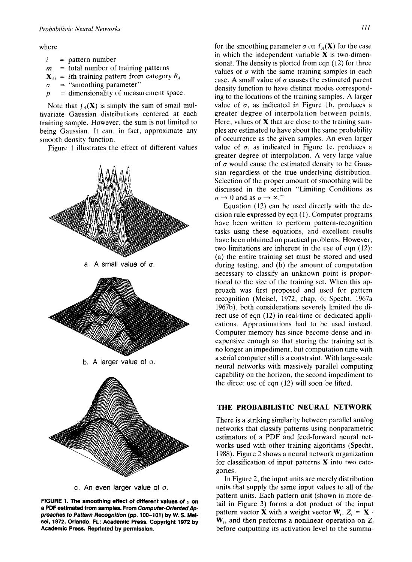#### where

- $i =$  pattern number
- $m =$  total number of training patterns
- $X_{Ai}$  = *i*th training pattern from category  $\theta_A$
- $=$  "smoothing parameter"
- $=$  dimensionality of measurement space.

Note that  $f_A(\mathbf{X})$  is simply the sum of small multivariate Gaussian distributions centered at each training sample. However, the sum is not limited to being Gaussian. It can, in fact, approximate any smooth density function.

Figure 1 illustrates the effect of different values



c. An even larger value of o.

FIGURE 1. The smoothing effect of different values of  $\sigma$  on **a PDF estimated from samples. From** *Computer-Oriented Approaches to Pattern Recognition* **(pp. 100-101) by W. S. Meisel, 1972, Orlando, FL: Academic Press. Copyright 1972 by Academic Press. Reprinted by permission.** 

for the smoothing parameter  $\sigma$  on  $f_A(\mathbf{X})$  for the case in which the independent variable  $X$  is two-dimensional. The density is plotted from eqn (12) for three values of  $\sigma$  with the same training samples in each case. A small value of  $\sigma$  causes the estimated parent density function to have distinct modes corresponding to the locations of the training samples. A larger value of  $\sigma$ , as indicated in Figure 1b, produces a greater degree of interpolation between points. Here, values of  $X$  that are close to the training samples are estimated to have about the same probability of occurrence as the given samples. An even larger value of  $\sigma$ , as indicated in Figure 1c, produces a greater degree of interpolation. A very large value of  $\sigma$  would cause the estimated density to be Gaussian regardless of the true underlying distribution. Selection of the proper amount of smoothing will be discussed in the section "Limiting Conditions as  $\sigma \rightarrow 0$  and as  $\sigma \rightarrow \infty$ ."

Equation (12) can be used directly with the decision rule expressed by eqn (1). Computer programs have been written to perform pattern-recognition tasks using these equations, and excellent results have been obtained on practical problems. However, two limitations are inherent in the use of eqn (12): (a) the entire training set must be stored and used during testing, and (b) the amount of computation necessary to classify an unknown point is proportional to the size of the training set. When this approach was first proposed and used for pattern recognition (Meisel, 1972, chap. 6; Specht, 1967a 1967b), both considerations severely limited the direct use of eqn (12) in real-time or dedicated applications. Approximations had to be used instead. Computer memory has since become dense and inexpensive enough so that storing the training set is no longer an impediment, but computation time with a serial computer still is a constraint. With large-scale neural networks with massively parallel computing capability on the horizon, the second impediment to the direct use of eqn (12) will soon be lifted.

## **THE PROBABILISTIC NEURAL NETWORK**

There is a striking similarity between parallel analog networks that classify patterns using nonparametric estimators of a PDF and feed-forward neural networks used with other training algorithms (Specht, 1988). Figure 2 shows a neural network organization for classification of input patterns  $X$  into two categories.

In Figure 2, the input units are merely distribution units that supply the same input values to all of the pattern units. Each pattern unit (shown in more detail in Figure 3) forms a dot product of the input pattern vector **X** with a weight vector  $W_i$ ,  $Z_i = X$ .  $W_i$ , and then performs a nonlinear operation on  $Z_i$ before outputting its activation level to the summa-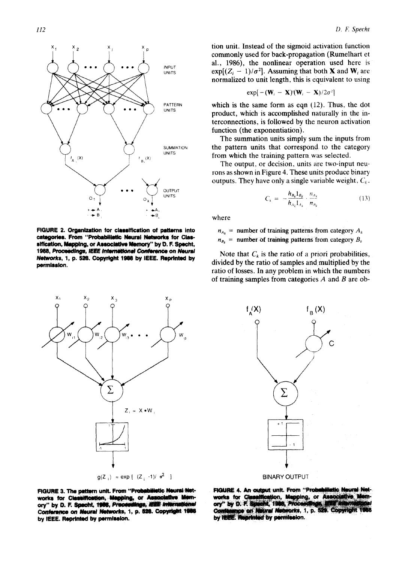

**FIGURE 2. Organization for classification of patterns into** categories. From "Probabilistic Neural Networks for Clas-<br>sification, Mapping, or Associative Memory" by D. F. Specht, 1988, Proceedings, IEEE International Conference on Neural Networks, 1, p. 528. Copyright 1988 by IEEE. Reprinted by **permission.** 



tion unit. Instead of the sigmoid activation function commonly used for back-propagation (Rumelhart et al., 1986), the nonlinear operation used here is  $exp[(Z_i - 1)/\sigma^2]$ . Assuming that both **X** and **W**<sub>*i*</sub> are normalized to unit length, this is equivalent to using

$$
\exp[-(\mathbf{W}_i - \mathbf{X})^i(\mathbf{W}_i - \mathbf{X})/2\sigma^2]
$$

which is the same form as eqn  $(12)$ . Thus, the dot product, which is accomplished naturally in the interconnections, is followed by the neuron activation function (the exponentiation).

The summation units simply sum the inputs from the pattern units that correspond to the category from which the training pattern was selected.

The output, or decision, units are two-input neurons as shown in Figure 4. These units produce binary outputs. They have only a single variable weight,  $C_k$ .

$$
C_k = -\frac{h_{B_k} \mathbf{1}_{B_k}}{h_{A_k} \mathbf{1}_{A_k}} \cdot \frac{n_{A_k}}{n_{B_k}}
$$
(13)

where

 $n_{A_k}$  = number of training patterns from category  $A_k$  $n_{B_k}$  = number of training patterns from category  $B_k$ 

Note that  $C_k$  is the ratio of a priori probabilities, divided by the ratio of samples and multiplied by the ratio of losses. In any problem in which the numbers of training samples from categories  $A$  and  $B$  are ob-



FIGURE 3. The pattern unit. From "Probabilistic Neural Networks for Clessification, Mapping, or Associative Memory" by D. F. Specht, 1988, Proce ida. A Conference on Neural Networks, 1, p. 528. Copyright 1988<br>by IEEE. Reprinted by permission.

FIGURE 4. An output unit. From "Probabilit rke Moural Nat works for Classification, Mapping, or Assoc tive 1 ory" by D. F. I, 1988, Pro ural Notworks, 1, p. 529.  $\bullet$  on  $\prime$ by IEEE. Reprinted by permission.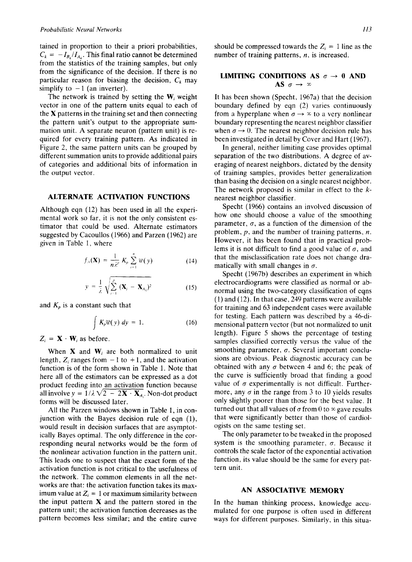tained in proportion to their a priori probabilities,  $C_k = -I_{B_k}/I_{A_k}$ . This final ratio cannot be determined from the statistics of the training samples, but only from the significance of the decision. If there is no particular reason for biasing the decision,  $C_k$  may simplify to  $-1$  (an inverter).

The network is trained by setting the  $W_i$  weight vector in one of the pattern units equal to each of the X patterns in the training set and then connecting the pattern unit's output to the appropriate summation unit. A separate neuron (pattern unit) is required for every training pattern. As indicated in Figure 2, the same pattern units can be grouped by different summation units to provide additional pairs of categories and additional bits of information in the output vector.

### ALTERNATE ACTIVATION FUNCTIONS

Although eqn (12) has been used in all the experimental work so far, it is not the only consistent estimator that could be used. Alternate estimators suggested by Cacoullos (1966) and Parzen (1962) are given in Table 1, where

$$
f_A(\mathbf{X}) = \frac{1}{n\lambda^p} K_p \sum_{i=1}^n \mathbb{V}(y) \tag{14}
$$

$$
y = \frac{1}{\lambda} \sqrt{\sum_{i=1}^{p} (\mathbf{X}_i - \mathbf{X}_{A_{ij}})^2}
$$
 (15)

and  $K_p$  is a constant such that

$$
\int K_p \tilde{w}(y) \, dy = 1. \tag{16}
$$

 $Z_i = \mathbf{X} \cdot \mathbf{W}_i$  as before.

When **X** and  $W_i$  are both normalized to unit length,  $Z_i$  ranges from  $-1$  to  $+1$ , and the activation function is of the form shown in Table 1. Note that here all of the estimators can be expressed as a dot product feeding into an activation function because all involve  $y = 1/\lambda \sqrt{2} - 2\mathbf{X} \cdot \mathbf{X}_{A_i}$ . Non-dot product forms will be discussed later.

All the Parzen windows shown in Table 1, in conjunction with the Bayes decision rule of eqn (1), would result in decision surfaces that are asymptotically Bayes optimal. The only difference in the corresponding neural networks would be the form of the nonlinear activation function in the pattern unit. This leads one to suspect that the exact form of the activation function is not critical to the usefulness of the network. The common elements in all the networks are that: the activation function takes its maximum value at  $Z_i = 1$  or maximum similarity between the input pattern  $X$  and the pattern stored in the pattern unit; the activation function decreases as the pattern becomes less similar; and the entire curve

should be compressed towards the  $Z_i = 1$  line as the number of training patterns,  $n$ , is increased.

#### **LIMITING CONDITIONS AS**  $\sigma \rightarrow 0$  **AND** AS  $\sigma \rightarrow \infty$

It has been shown (Specht, 1967a) that the decision boundary defined by eqn (2) varies continuously from a hyperplane when  $\sigma \rightarrow \infty$  to a very nonlinear boundary representing the nearest neighbor classifier when  $\sigma \rightarrow 0$ . The nearest neighbor decision rule has been investigated in detail by Cover and Hart (1967).

In general, neither limiting case provides optimal separation of the two distributions. A degree of averaging of nearest neighbors, dictated by the density of training samples, provides better generalization than basing the decision on a single nearest neighbor. The network proposed is similar in effect to the  $k$ nearest neighbor classifier.

Specht (1966) contains an involved discussion of how one should choose a value of the smoothing parameter,  $\sigma$ , as a function of the dimension of the problem,  $p$ , and the number of training patterns,  $n$ . However, it has been found that in practical problems it is not difficult to find a good value of  $\sigma$ , and that the misclassification rate does not change dramatically with small changes in  $\sigma$ .

Specht (1967b) describes an experiment in which electrocardiograms were classified as normal or abnormal using the two-category classification of eqns (1) and (12). In that case, 249 patterns were available for training and 63 independent cases were available for testing. Each pattern was described by a 46-dimensional pattern vector (but not normalized to unit length). Figure 5 shows the percentage of testing samples classified correctly versus the value of the smoothing parameter,  $\sigma$ . Several important conclusions are obvious. Peak diagnostic accuracy can be obtained with any  $\sigma$  between 4 and 6; the peak of the curve is sufficiently broad that finding a good value of  $\sigma$  experimentally is not difficult. Furthermore, any  $\sigma$  in the range from 3 to 10 yields results only slightly poorer than those for the best value. It turned out that all values of  $\sigma$  from 0 to  $\infty$  gave results that were significantly better than those of cardiologists on the same testing set.

The only parameter to be tweaked in the proposed system is the smoothing parameter,  $\sigma$ . Because it controls the scale factor of the exponential activation function, its value should be the same for every pattern unit.

#### **AN ASSOCIATIVE MEMORY**

In the human thinking process, knowledge accumulated for one purpose is often used in different ways for different purposes. Similarly, in this situa-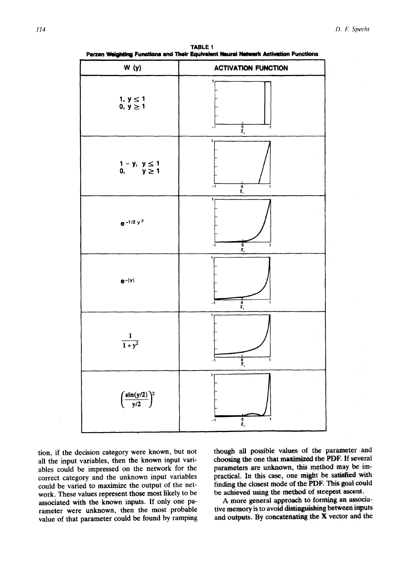| W(y)                                   | <b>ACTIVATION FUNCTION</b>                |
|----------------------------------------|-------------------------------------------|
| 1, $y \le 1$<br>0, $y \ge 1$           | 1<br>$\overline{z}$ ,<br>$-1$<br>1        |
| $1 - y, y \le 1$<br>0, $y \ge 1$       | 1<br>$\overline{z}$<br>1                  |
| $e^{-1/2}$ y <sup>2</sup>              | 1<br>õ<br>-1<br>$\mathbf{z}_{i}$          |
| $e$ -Iyl                               | 1<br>$\overline{\mathbf{r}}$<br>1<br>$-1$ |
| $\frac{1}{1+y^2}$                      | 1<br>$\frac{1}{2}$<br>-1<br>1             |
| $\left(\frac{\sin(y/2)}{y/2}\right)^2$ | $\frac{0}{2}$<br>-1                       |

**TABLE 1**  Parzen Weighting Functions and Their Equivalent Neural Network Activation Functions

tion, if the decision category were known, but not all the input variables, then the known input variables could be impressed on the network for the correct category and the unknown input variables could be varied to maximize the output of the network. These values represent those most likely to be associated with the known inputs. If only one parameter were unknown, then the most probable value of that parameter could be found by ramping though all possible values of the parameter and choosing the one that maximized the PDF. If several parameters are unknown, this method may be impractical. In this case, one might be satisfied with finding the closest mode of the PDF. This goal could be achieved using the method of steepest ascent.

A more general approach to forming an associative memory is to avoid distinguishing between inputs and outputs. By concatenating the X vector and the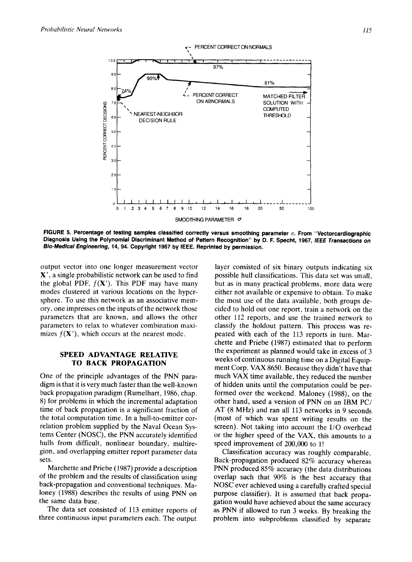

FIGURE 5. **Percentage of testing samples classified correctly versus smoothing parameter** a. From **"Vectorcardiographic Diagnosis Using the Polynomial Discriminant Method of Pattern Recognition" by** D. F. Specht, 1967, *IEEE Transactions on Bio-Medical Engineering,* 14, 94. Copyright 1967 by IEEE. **Reprinted by permission.** 

output vector into one longer measurement vector X', a single probabilistic network can be used to find the global PDF,  $f(\mathbf{X}')$ . This PDF may have many modes clustered at various locations on the hypersphere. To use this network as an associative memory, one impresses on the inputs of the network those parameters that are known, and allows the other parameters to relax to whatever combination maximizes  $f(\mathbf{X}')$ , which occurs at the nearest mode.

#### **SPEED ADVANTAGE RELATIVE TO BACK PROPAGATION**

One of the principle advantages of the PNN paradigm is that it is very much faster than the well-known back propagation paradigm (Rumelhart, 1986, chap. 8) for problems in which the incremental adaptation time of back propagation is a significant fraction of the total computation time. In a hull-to-emitter correlation problem supplied by the Naval Ocean Systems Center (NOSC), the PNN accurately identified hulls from difficult, nonlinear boundary, multiregion, and overlapping emitter report parameter data sets.

Marchette and Priebe (1987) provide a description of the problem and the results of classification using back-propagation and conventional techniques. Maloney (1988) describes the results of using PNN on the same data base.

The data set consisted of 113 emitter reports of three continuous input parameters each. The output layer consisted of six binary outputs indicating six possible hull classifications. This data set was small, but as in many practical problems, more data were either not available or expensive to obtain. To make the most use of the data available, both groups decided to hold out one report, train a network on the other 112 reports, and use the trained network to classify the holdout pattern. This process was repeated with each of the 113 reports in turn. Marchette and Priebe (1987) estimated that to perform the experiment as planned would take in excess of 3 weeks of continuous running time on a Digital Equipment Corp. VAX 8650. Because they didn't have that much VAX time available, they reduced the number of hidden units until the computation could be performed over the weekend. Maloney (1988), on the other hand, used a version of PNN on an IBM PC/ AT (8 MHz) and ran all 113 networks in 9 seconds (most of which was spent writing results on the screen). Not taking into account the I/O overhead or the higher speed of the VAX, this amounts to a speed improvement of 200,000 to 1!

Classification accuracy was roughly comparable. Back-propagation produced 82% accuracy whereas PNN produced 85% accuracy (the data distributions overlap such that 90% is the best accuracy that NOSC ever achieved using a carefully crafted special purpose classifier). It is assumed that back propagation would have achieved about the same accuracy as PNN if allowed to run 3 weeks. By breaking the problem into subproblems classified by separate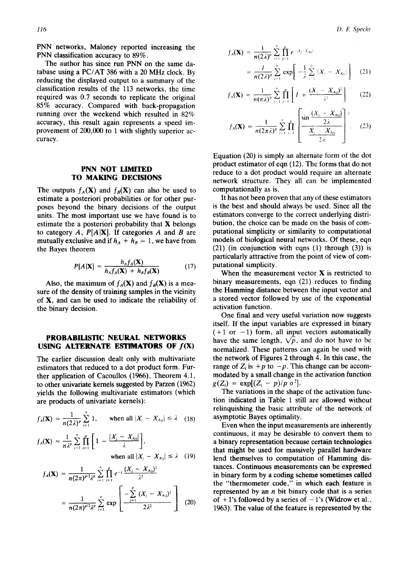PNN networks, Maloney reported increasing the PNN classification accuracy to 89%.

The author has since run PNN on the same database using a PC/AT 386 with a 20 MHz clock. By reducing the displayed output to a summary of the classification results of the 113 networks, the time required was 0.7 seconds to replicate the original 85% accuracy. Compared with back-propagation running over the weekend which resulted in 82% accuracy, this result again represents a speed improvement of 200,000 to 1 with slightly superior accuracy.

## **PNN NOT LIMITED TO MAKING DECISIONS**

The outputs  $f_A(\mathbf{X})$  and  $f_B(\mathbf{X})$  can also be used to estimate a posteriori probabilities or for other purposes beyond the binary decisions of the output units. The most important use we have found is to estimate the a posteriori probability that  $X$  belongs to category A,  $P[A|X]$ . If categories A and B are mutually exclusive and if  $h_A + h_B = 1$ , we have from the Bayes theorem

$$
P[A|\mathbf{X}] = \frac{h_A f_A(\mathbf{X})}{h_A f_A(\mathbf{X}) + h_B f_B(\mathbf{X})}
$$
(17)

Also, the maximum of  $f_A(\mathbf{X})$  and  $f_B(\mathbf{X})$  is a measure of the density of training samples in the vicinity of X, and can be used to indicate the reliability of the binary decision.

#### **PROBABILISTIC NEURAL NETWORKS USING ALTERNATE ESTIMATORS OF f(X)**

The earlier discussion dealt only with multivariate estimators that reduced to a dot product form. Further application of Cacoullos (1966), Theorem 4,1, to other univariate kernels suggested by Parzen (1962) yields the following multivariate estimators (which are products of univariate kernels):

$$
f_A(\mathbf{X}) = \frac{1}{n(2\lambda)^p} \sum_{i=1}^n 1, \quad \text{when all } |X_i - X_{Aij}| \le \lambda \quad (18)
$$
  

$$
f_A(\mathbf{X}) = \frac{1}{n\lambda^p} \sum_{i=1}^n \prod_{j=1}^n \left[ 1 - \frac{|X_j - X_{Aij}|}{\lambda} \right],
$$

when all  $|X_j - X_{Aij}| \leq \lambda$  (19)

$$
f_A(\mathbf{X}) = \frac{1}{n(2\pi)^{p/2}\lambda^p} \sum_{i=1}^n \prod_{j=1}^p e^{-i} \frac{(X_j - X_{Aij})^2}{\lambda^2}
$$
  
= 
$$
\frac{1}{n(2\pi)^{p/2}\lambda^p} \sum_{i=1}^n \exp\left[\frac{-\sum_{j=1}^p (X_j - X_{Aij})^2}{2\lambda^2}\right]
$$
(20)

$$
f_A(\mathbf{X}) = \frac{1}{n(2\lambda)^p} \sum_{i=1}^n \prod_{j=1}^p e^{-|X_j - X_{Aij}|^2}
$$
  
= 
$$
\frac{1}{n(2\lambda)^p} \sum_{i=1}^n \exp\left[-\frac{1}{\lambda} \sum_{j=1}^p |X_j - X_{Aij}|^2\right]
$$
 (21)

$$
f_A(\mathbf{X}) = \frac{1}{n(\pi \lambda)^p} \sum_{i=1}^n \prod_{j=1}^p \left[ 1 + \frac{(X_j - X_{Aij})^2}{\lambda^2} \right]^{-1} \quad (22)
$$

$$
f_A(\mathbf{X}) = \frac{1}{n(2\pi\lambda)^p} \sum_{i=1}^n \prod_{i=1}^p \left[ \frac{\sin \frac{(X_i - X_{Ai})}{2\lambda}}{\frac{X_i - X_{Ai}}{2\lambda}} \right]^2.
$$
 (23)

Equation (20) is simply an alternate form of the dot product estimator of eqn (12). The forms that do not reduce to a dot product would require an alternate network structure. They all can be implemented computationally as is.

It has not been proven that any of these estimators is the best and should always be used. Since all the estimators converge to the correct underlying distribution, the choice can be made on the basis of computational simplicity or similarity to computational models of biological neural networks. Of these, eqn  $(21)$  (in conjunction with eqns  $(1)$  through  $(3)$ ) is particularly attractive from the point of view of computational simplicity.

When the measurement vector  $X$  is restricted to binary measurements, eqn (21) reduces to finding the Hamming distance between the input vector and a stored vector followed by use of the exponential activation function.

One final and very useful variation now suggests itself. If the input variables are expressed in binary  $(+1 \text{ or } -1)$  form, all input vectors automatically have the same length,  $\sqrt{p}$ , and do not have to be normalized. These patterns can again be used with the network of Figures 2 through 4. In this case, the range of  $Z_i$  is +p to -p. This change can be accommodated by a small change in the activation function  $g(Z_i) = \exp[(Z_i - p)/p \sigma^2].$ 

The variations in the shape of the activation function indicated in Table 1 still are allowed without relinquishing the basic attribute of the network of asymptotic Bayes optimality.

Even when the input measurements are inherently continuous, it may be desirable to convert them to a binary representation because certain technologies that might be used for massively parallel hardware lend themselves to computation of Hamming distances. Continuous measurements can be expressed in binary form by a coding scheme sometimes called the "thermometer code," in which each feature is represented by an  $n$  bit binary code that is a series of  $+1$ 's followed by a series of  $-1$ 's (Widrow et al... 1963). The value of the feature is represented by the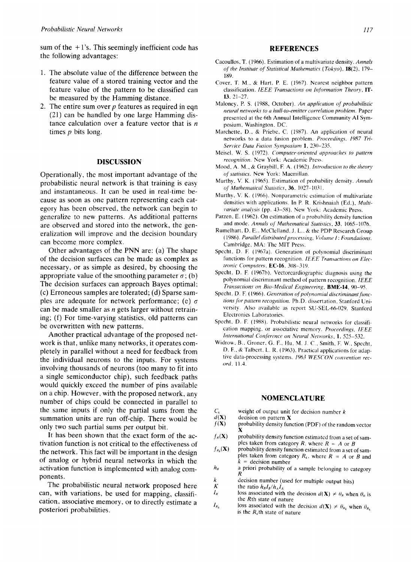**sum of the + l's. This seemingly inefficient code has the following advantages:** 

- **1. The absolute value of the difference between the feature value of a stored training vector and the feature value of the pattern to be classified can be measured by the Hamming distance.**
- **2. The entire sum over p features as required in eqn (21) can be handled by one large Hamming distance calculation over a feature vector that is n times p bits long.**

#### **DISCUSSION**

**Operationally, the most important advantage of the probabilistic neural network is that training is easy and instantaneous, it can be used in real-time because as soon as one pattern representing each category has been observed, the network can begin to generalize to new patterns. As additional patterns are observed and stored into the network, the generalization will improve and the decision boundary can become more complex.** 

**Other advantages of the PNN are: (a) The shape of the decision surfaces can be made as complex as necessary, or as simple as desired, by choosing the**  appropriate value of the smoothing parameter  $\sigma$ ; (b) **The decision surfaces can approach Bayes optimal; (c) Erroneous samples are tolerated; (d) Sparse sam**ples are adequate for network performance; (e)  $\sigma$ **can be made smaller as n gets larger without retraining; (f) For time-varying statistics, old patterns can be overwritten with new patterns.** 

**Another practical advantage of the proposed network is that, unlike many networks, it operates completely in parallel without a need for feedback from the individual neurons to the inputs. For systems involving thousands of neurons (too many to fit into a single semiconductor chip), such feedback paths would quickly exceed the number of pins available on a chip. However, with the proposed network, any number of chips could be connected in parallel to the same inputs if only the partial sums from the summation units are run off-chip. There would be only two such partial sums per output bit.** 

**It has been shown that the exact form of the activation function is not critical to the effectiveness of the network. This fact will be important in the design of analog or hybrid neural networks in which the activation function is implemented with analog components.** 

**The probabilistic neural network proposed here can, with variations, be used for mapping, classification, associative memory, or to directly estimate a posteriori probabilities.** 

#### **REFERENCES**

- Cacoullos, T. (1966). Estimation of a multivariate density. *Annals of the Institute of Statistical Mathematics (Tokyo),* 18(2), 179- 189.
- Cover, T. M., & Hart, P. E. (1967). Nearest neighbor pattern classification. *IEEE Transactions on Information Theory*, *IT-*13, 21-27.
- Maloney, P. S. (1988, October). *An application of probabilistic neural networks to a hull-to-emitter correlation problem,* Paper presented at the 6th Annual Intelligence Community AI Symposium, Washington, DC.
- Marchctte, D., & Priebe, C. (1987). An application of neural networks to a data fusion problem. *Proceedings, 1987 Tri-*Service Data Fusion Symposium 1, 230-235.
- Meisel, W. S. (1972). *Computer-oriented approaches to pattern recognition.* New York: Academic Press.
- Mood, A. M., & Graybill, F. A. (1962). *Introduction to the theory*  of statistics. New York: Macmillan.
- Murthy, V. K. (1965). Estimation of probability density. *Annals of Mathematical Statistics,* 36. 1027-1031.
- Murthy, V. K. (1966). Nonparametric estimation of multivariate densities with applications. In P. R. Krishnaiah (Ed.), *Multivariate analysis* (pp. 43-58). New York: Academic Press.
- Parzen, E. (1962). On estimation of a probability density function and mode. *Annals of Mathematical Statistics,* 33, 1065-1076.
- Rumelhart, D. E., McClelland, J. L., & the PDP Research Group (1986). *Parallel distributed processing, Volume 1 : Foundations.*  Cambridge, MA: The MIT Press.
- Specht, D. E (1967a). Generation of polynomial discriminant functions for pattern recognition. *IEEE Transactions on Electronic Computers, EC-16, 308-319.*
- Specht. D. E (1967b). Vectorcardiographic diagnosis using **the**  polynomial discriminant method of pattern recognition. *IEEE Transactions on Bio-Medical Engineering,* BME-14, 90-95.
- Specht, D. F. (1966). Generation of polynomial discriminant func*tions for pattern recognition.* Ph.D. dissertation, Stanford University. Also available as report SU-SEL-66-029. Stanford Electronics Laboratories.
- Specht, D. F. (1988). Probabilistic neural networks for classification mapping, or associative memory. *Proceedings', IEEE International Conference on Neural Networks, 1,525-532.*
- Widrow, B., Groner, G. F., Hu. M. J. C., Smith, F. W., Specht, D. F., & Talbert, L. R. (1963). Practical applications for adaptive data-processing systems. 1963 *WESCON convention record, 11.4.*

## **NOMENCLATURE**

- $C_k$ **weight** of output unit for decision number k
- $d(\mathbf{X})$ decision on pattern X
- $f(\mathbf{X})$ probability density function (PDF) of the random vector **X**
- $f_R(\mathbf{X})$ probability density function estimated from a set of samples taken from category *R*, where  $R = A$  or *B*
- $f_{R_k}(\mathbf{X})$ probability density function estimated from a set of samples taken from category  $R_k$ , where  $R = A$  or B and  $k =$  decision number
- $h_R$ *k*  a priori probability of a sample belonging to category R
- decision number (used for multiple output bits)
- the ratio  $h_B I_B / h_A I_A$
- $\overline{K}$ <br> $I_k$ loss associated with the decision  $d(\mathbf{X}) \neq \theta_R$  when  $\theta_R$  is the Rth state of nature
- loss associated with the decision  $d(\mathbf{X}) \neq \theta_{R_k}$  when  $\theta_{R_k}$  $I_{R_k}$ is the  $R_k$ th state of nature